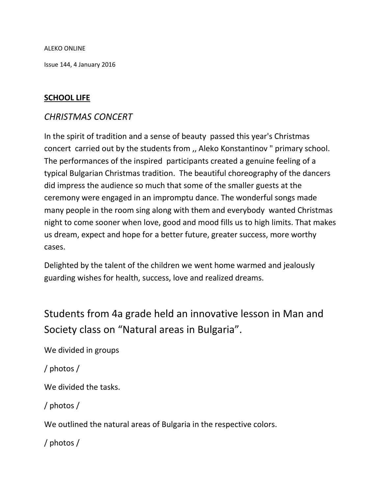ALEKO ONLINE

Issue 144, 4 January 2016

#### **SCHOOL LIFE**

### *CHRISTMAS CONCERT*

In the spirit of tradition and a sense of beauty passed this year's Christmas concert carried out by the students from ,, Aleko Konstantinov " primary school. The performances of the inspired participants created a genuine feeling of a typical Bulgarian Christmas tradition. The beautiful choreography of the dancers did impress the audience so much that some of the smaller guests at the ceremony were engaged in an impromptu dance. The wonderful songs made many people in the room sing along with them and everybody wanted Christmas night to come sooner when love, good and mood fills us to high limits. That makes us dream, expect and hope for a better future, greater success, more worthy cases.

Delighted by the talent of the children we went home warmed and jealously guarding wishes for health, success, love and realized dreams.

# Students from 4a grade held an innovative lesson in Man and Society class on "Natural areas in Bulgaria".

We divided in groups

/ photos /

We divided the tasks.

/ photos /

We outlined the natural areas of Bulgaria in the respective colors.

/ photos /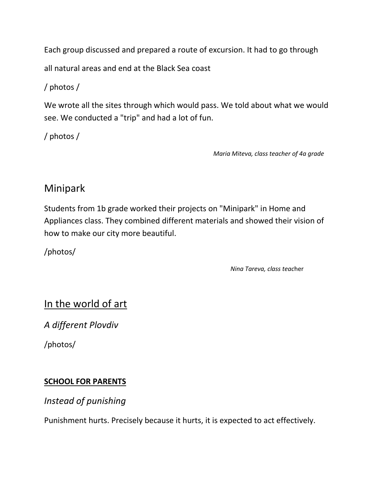Each group discussed and prepared a route of excursion. It had to go through

all natural areas and end at the Black Sea coast

/ photos /

We wrote all the sites through which would pass. We told about what we would see. We conducted a "trip" and had a lot of fun.

/ photos /

 *Maria Miteva, class teacher of 4a grade*

# Minipark

Students from 1b grade worked their projects on "Minipark" in Home and Appliances class. They combined different materials and showed their vision of how to make our city more beautiful.

/photos/

 *Nina Tareva, class teac*her

# In the world of art

*A different Plovdiv*

/photos/

### **SCHOOL FOR PARENTS**

*Instead of punishing*

Punishment hurts. Precisely because it hurts, it is expected to act effectively.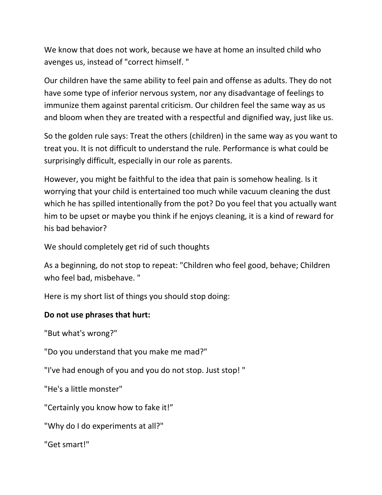We know that does not work, because we have at home an insulted child who avenges us, instead of "correct himself. "

Our children have the same ability to feel pain and offense as adults. They do not have some type of inferior nervous system, nor any disadvantage of feelings to immunize them against parental criticism. Our children feel the same way as us and bloom when they are treated with a respectful and dignified way, just like us.

So the golden rule says: Treat the others (children) in the same way as you want to treat you. It is not difficult to understand the rule. Performance is what could be surprisingly difficult, especially in our role as parents.

However, you might be faithful to the idea that pain is somehow healing. Is it worrying that your child is entertained too much while vacuum cleaning the dust which he has spilled intentionally from the pot? Do you feel that you actually want him to be upset or maybe you think if he enjoys cleaning, it is a kind of reward for his bad behavior?

We should completely get rid of such thoughts

As a beginning, do not stop to repeat: "Children who feel good, behave; Children who feel bad, misbehave. "

Here is my short list of things you should stop doing:

#### **Do not use phrases that hurt:**

"But what's wrong?"

"Do you understand that you make me mad?"

"I've had enough of you and you do not stop. Just stop! "

"He's a little monster"

"Certainly you know how to fake it!"

"Why do I do experiments at all?"

"Get smart!"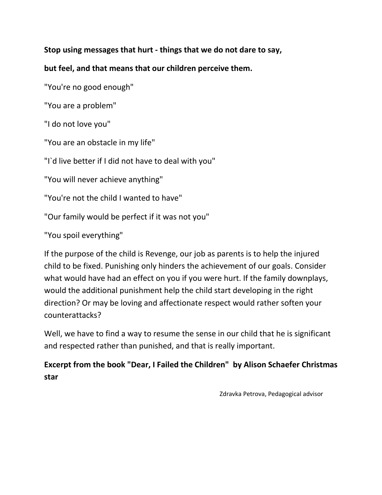**Stop using messages that hurt - things that we do not dare to say,**

**but feel, and that means that our children perceive them.**

"You're no good enough"

"You are a problem"

"I do not love you"

"You are an obstacle in my life"

"I`d live better if I did not have to deal with you"

"You will never achieve anything"

"You're not the child I wanted to have"

"Our family would be perfect if it was not you"

"You spoil everything"

If the purpose of the child is Revenge, our job as parents is to help the injured child to be fixed. Punishing only hinders the achievement of our goals. Consider what would have had an effect on you if you were hurt. If the family downplays, would the additional punishment help the child start developing in the right direction? Or may be loving and affectionate respect would rather soften your counterattacks?

Well, we have to find a way to resume the sense in our child that he is significant and respected rather than punished, and that is really important.

### **Excerpt from the book "Dear, I Failed the Children" by Alison Schaefer Christmas star**

Zdravka Petrova, Pedagogical advisor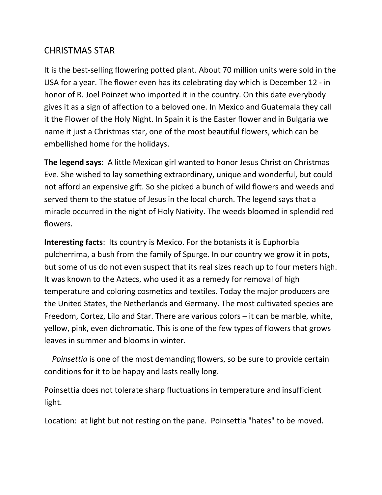## CHRISTMAS STAR

It is the best-selling flowering potted plant. About 70 million units were sold in the USA for a year. The flower even has its celebrating day which is December 12 - in honor of R. Joel Poinzet who imported it in the country. On this date everybody gives it as a sign of affection to a beloved one. In Mexico and Guatemala they call it the Flower of the Holy Night. In Spain it is the Easter flower and in Bulgaria we name it just a Christmas star, one of the most beautiful flowers, which can be embellished home for the holidays.

**The legend says**: A little Mexican girl wanted to honor Jesus Christ on Christmas Eve. She wished to lay something extraordinary, unique and wonderful, but could not afford an expensive gift. So she picked a bunch of wild flowers and weeds and served them to the statue of Jesus in the local church. The legend says that a miracle occurred in the night of Holy Nativity. The weeds bloomed in splendid red flowers.

**Interesting facts**: Its country is Mexico. For the botanists it is Euphorbia pulcherrima, a bush from the family of Spurge. In our country we grow it in pots, but some of us do not even suspect that its real sizes reach up to four meters high. It was known to the Aztecs, who used it as a remedy for removal of high temperature and coloring cosmetics and textiles. Today the major producers are the United States, the Netherlands and Germany. The most cultivated species are Freedom, Cortez, Lilo and Star. There are various colors – it can be marble, white, yellow, pink, even dichromatic. This is one of the few types of flowers that grows leaves in summer and blooms in winter.

 *Poinsettia* is one of the most demanding flowers, so be sure to provide certain conditions for it to be happy and lasts really long.

Poinsettia does not tolerate sharp fluctuations in temperature and insufficient light.

Location: at light but not resting on the pane. Poinsettia "hates" to be moved.